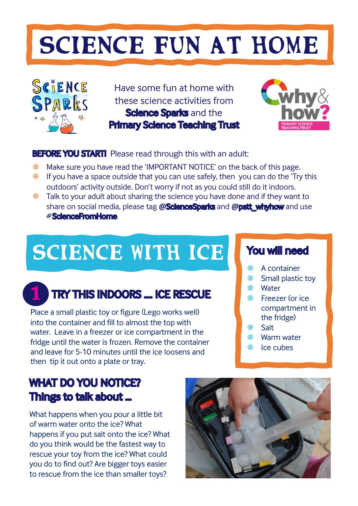# SCIENCE FUN AT HOME



Have some fun at home with these science activities from **Science Sparks and the** Primary Science Teaching Trust



## **BEFORE YOU START!** Please read through this with an adult:

- ❋ Make sure you have read the 'IMPORTANT NOTICE' on the back of this page.
- $*$  If you have a space outside that you can use safely, then you can do the 'Try this outdoors' activity outside. Don't worry if not as you could still do it indoors.
- $*$  Talk to your adult about sharing the science you have done and if they want to share on social media, please tag **@**ScienceSparks and **@**pstt\_whyhow and use # ScienceFromHome

# SCIENCE WITH ICE You will need

#### TRY THIS INDOORS …. ICE RESCUE 1

Place a small plastic toy or figure (Lego works well) into the container and fill to almost the top with water. Leave in a freezer or ice compartment in the fridge until the water is frozen. Remove the container and leave for 5-10 minutes until the ice loosens and then tip it out onto a plate or tray.

# WHAT DO YOU NOTICE? Things to talk about …

What happens when you pour a little bit of warm water onto the ice? What happens if you put salt onto the ice? What do you think would be the fastest way to rescue your toy from the ice? What could you do to find out? Are bigger toys easier to rescue from the ice than smaller toys?

- ❋ A container
- ❋ Small plastic toy
- ❋ Water
- ❋ Freezer (or ice compartment in the fridge)
- ❋ Salt
- ❋ Warm water
- ❋ Ice cubes